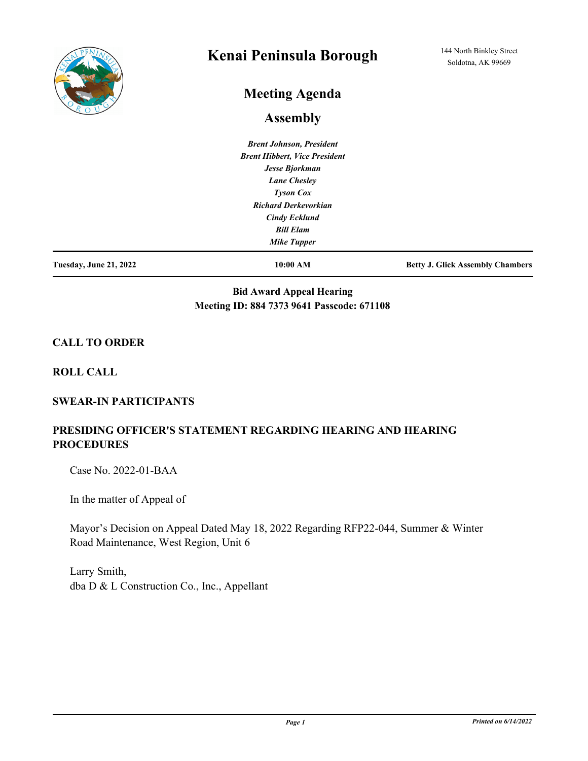

# **Kenai Peninsula Borough**

# **Meeting Agenda**

## **Assembly**

*Brent Johnson, President Brent Hibbert, Vice President Jesse Bjorkman Lane Chesley Tyson Cox Richard Derkevorkian Cindy Ecklund Bill Elam Mike Tupper*

**Tuesday, June 21, 2022 10:00 AM Betty J. Glick Assembly Chambers**

### **Bid Award Appeal Hearing Meeting ID: 884 7373 9641 Passcode: 671108**

#### **CALL TO ORDER**

**ROLL CALL**

#### **SWEAR-IN PARTICIPANTS**

### **PRESIDING OFFICER'S STATEMENT REGARDING HEARING AND HEARING PROCEDURES**

Case No. 2022-01-BAA

In the matter of Appeal of

Mayor's Decision on Appeal Dated May 18, 2022 Regarding RFP22-044, Summer & Winter Road Maintenance, West Region, Unit 6

Larry Smith, dba D & L Construction Co., Inc., Appellant